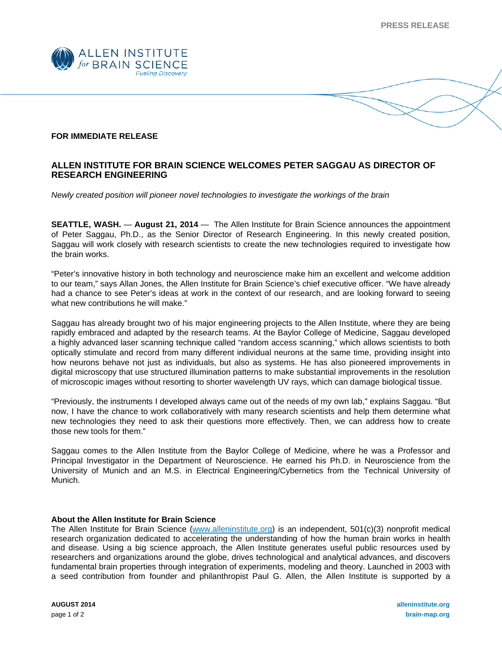**PRESS RELEASE** 



## **FOR IMMEDIATE RELEASE**

## **ALLEN INSTITUTE FOR BRAIN SCIENCE WELCOMES PETER SAGGAU AS DIRECTOR OF RESEARCH ENGINEERING**

*Newly created position will pioneer novel technologies to investigate the workings of the brain* 

**SEATTLE, WASH.** — **August 21, 2014** — The Allen Institute for Brain Science announces the appointment of Peter Saggau, Ph.D., as the Senior Director of Research Engineering. In this newly created position, Saggau will work closely with research scientists to create the new technologies required to investigate how the brain works.

"Peter's innovative history in both technology and neuroscience make him an excellent and welcome addition to our team," says Allan Jones, the Allen Institute for Brain Science's chief executive officer. "We have already had a chance to see Peter's ideas at work in the context of our research, and are looking forward to seeing what new contributions he will make."

Saggau has already brought two of his major engineering projects to the Allen Institute, where they are being rapidly embraced and adapted by the research teams. At the Baylor College of Medicine, Saggau developed a highly advanced laser scanning technique called "random access scanning," which allows scientists to both optically stimulate and record from many different individual neurons at the same time, providing insight into how neurons behave not just as individuals, but also as systems. He has also pioneered improvements in digital microscopy that use structured illumination patterns to make substantial improvements in the resolution of microscopic images without resorting to shorter wavelength UV rays, which can damage biological tissue.

"Previously, the instruments I developed always came out of the needs of my own lab," explains Saggau. "But now, I have the chance to work collaboratively with many research scientists and help them determine what new technologies they need to ask their questions more effectively. Then, we can address how to create those new tools for them."

Saggau comes to the Allen Institute from the Baylor College of Medicine, where he was a Professor and Principal Investigator in the Department of Neuroscience. He earned his Ph.D. in Neuroscience from the University of Munich and an M.S. in Electrical Engineering/Cybernetics from the Technical University of Munich.

## **About the Allen Institute for Brain Science**

The Allen Institute for Brain Science (www.alleninstitute.org) is an independent, 501(c)(3) nonprofit medical research organization dedicated to accelerating the understanding of how the human brain works in health and disease. Using a big science approach, the Allen Institute generates useful public resources used by researchers and organizations around the globe, drives technological and analytical advances, and discovers fundamental brain properties through integration of experiments, modeling and theory. Launched in 2003 with a seed contribution from founder and philanthropist Paul G. Allen, the Allen Institute is supported by a